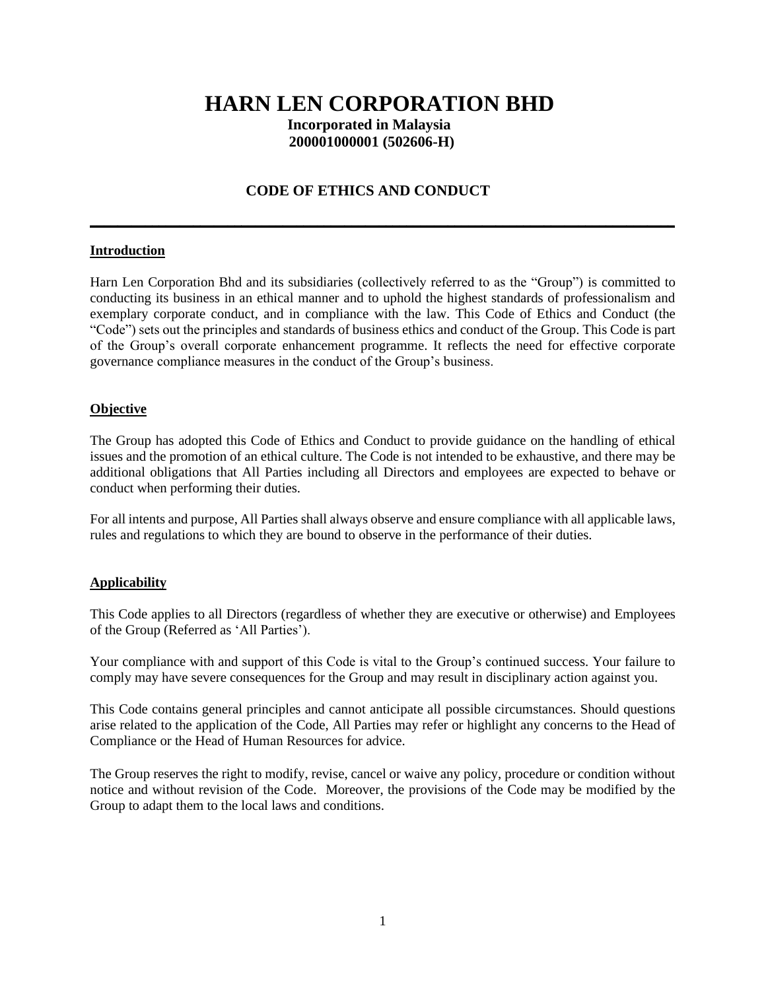# **HARN LEN CORPORATION BHD**

 **Incorporated in Malaysia 200001000001 (502606-H)**

# **CODE OF ETHICS AND CONDUCT**

**\_\_\_\_\_\_\_\_\_\_\_\_\_\_\_\_\_\_\_\_\_\_\_\_\_\_\_\_\_\_\_\_\_\_\_\_\_\_\_\_\_\_\_\_\_\_\_\_\_\_\_\_\_\_\_\_\_\_\_\_\_\_\_\_\_\_\_\_\_\_\_\_\_\_\_\_\_\_\_\_\_\_\_\_\_**

## **Introduction**

Harn Len Corporation Bhd and its subsidiaries (collectively referred to as the "Group") is committed to conducting its business in an ethical manner and to uphold the highest standards of professionalism and exemplary corporate conduct, and in compliance with the law. This Code of Ethics and Conduct (the "Code") sets out the principles and standards of business ethics and conduct of the Group. This Code is part of the Group's overall corporate enhancement programme. It reflects the need for effective corporate governance compliance measures in the conduct of the Group's business.

## **Objective**

The Group has adopted this Code of Ethics and Conduct to provide guidance on the handling of ethical issues and the promotion of an ethical culture. The Code is not intended to be exhaustive, and there may be additional obligations that All Parties including all Directors and employees are expected to behave or conduct when performing their duties.

For all intents and purpose, All Parties shall always observe and ensure compliance with all applicable laws, rules and regulations to which they are bound to observe in the performance of their duties.

## **Applicability**

This Code applies to all Directors (regardless of whether they are executive or otherwise) and Employees of the Group (Referred as 'All Parties').

Your compliance with and support of this Code is vital to the Group's continued success. Your failure to comply may have severe consequences for the Group and may result in disciplinary action against you.

This Code contains general principles and cannot anticipate all possible circumstances. Should questions arise related to the application of the Code, All Parties may refer or highlight any concerns to the Head of Compliance or the Head of Human Resources for advice.

The Group reserves the right to modify, revise, cancel or waive any policy, procedure or condition without notice and without revision of the Code. Moreover, the provisions of the Code may be modified by the Group to adapt them to the local laws and conditions.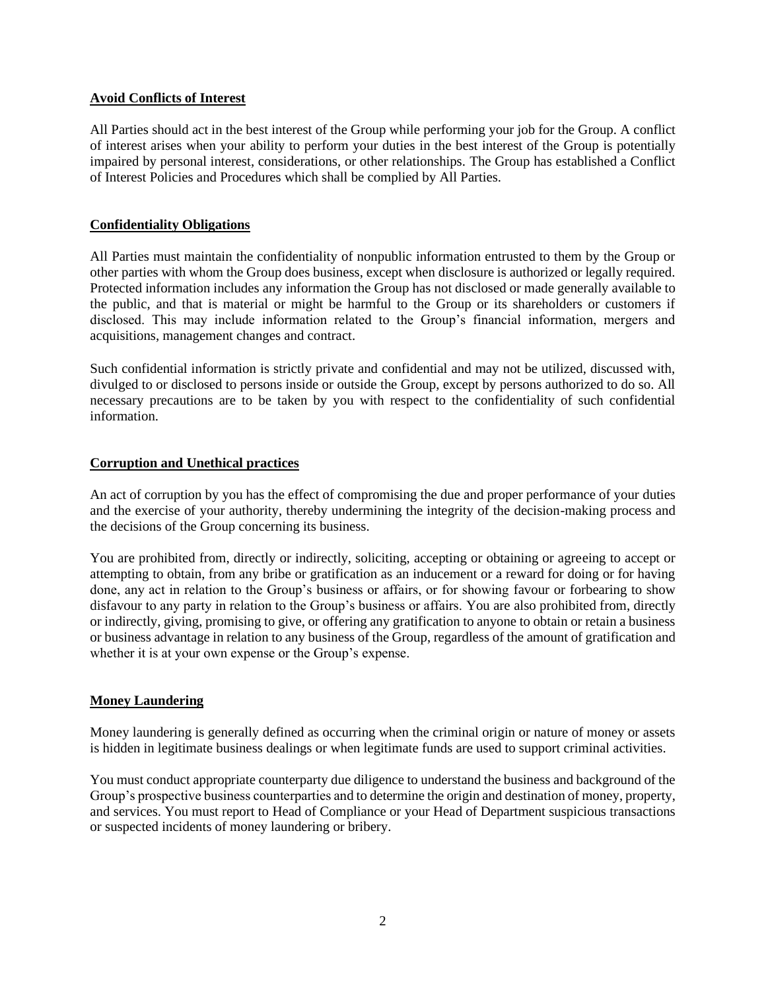## **Avoid Conflicts of Interest**

All Parties should act in the best interest of the Group while performing your job for the Group. A conflict of interest arises when your ability to perform your duties in the best interest of the Group is potentially impaired by personal interest, considerations, or other relationships. The Group has established a Conflict of Interest Policies and Procedures which shall be complied by All Parties.

#### **Confidentiality Obligations**

All Parties must maintain the confidentiality of nonpublic information entrusted to them by the Group or other parties with whom the Group does business, except when disclosure is authorized or legally required. Protected information includes any information the Group has not disclosed or made generally available to the public, and that is material or might be harmful to the Group or its shareholders or customers if disclosed. This may include information related to the Group's financial information, mergers and acquisitions, management changes and contract.

Such confidential information is strictly private and confidential and may not be utilized, discussed with, divulged to or disclosed to persons inside or outside the Group, except by persons authorized to do so. All necessary precautions are to be taken by you with respect to the confidentiality of such confidential information.

#### **Corruption and Unethical practices**

An act of corruption by you has the effect of compromising the due and proper performance of your duties and the exercise of your authority, thereby undermining the integrity of the decision-making process and the decisions of the Group concerning its business.

You are prohibited from, directly or indirectly, soliciting, accepting or obtaining or agreeing to accept or attempting to obtain, from any bribe or gratification as an inducement or a reward for doing or for having done, any act in relation to the Group's business or affairs, or for showing favour or forbearing to show disfavour to any party in relation to the Group's business or affairs. You are also prohibited from, directly or indirectly, giving, promising to give, or offering any gratification to anyone to obtain or retain a business or business advantage in relation to any business of the Group, regardless of the amount of gratification and whether it is at your own expense or the Group's expense.

## **Money Laundering**

Money laundering is generally defined as occurring when the criminal origin or nature of money or assets is hidden in legitimate business dealings or when legitimate funds are used to support criminal activities.

You must conduct appropriate counterparty due diligence to understand the business and background of the Group's prospective business counterparties and to determine the origin and destination of money, property, and services. You must report to Head of Compliance or your Head of Department suspicious transactions or suspected incidents of money laundering or bribery.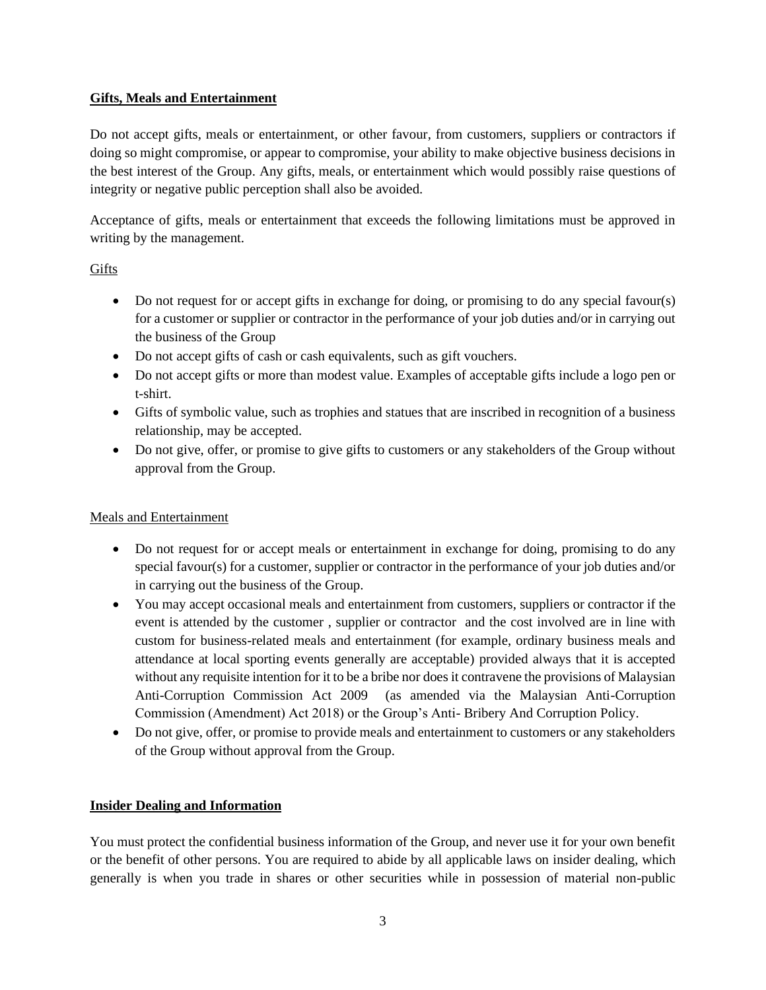## **Gifts, Meals and Entertainment**

Do not accept gifts, meals or entertainment, or other favour, from customers, suppliers or contractors if doing so might compromise, or appear to compromise, your ability to make objective business decisions in the best interest of the Group. Any gifts, meals, or entertainment which would possibly raise questions of integrity or negative public perception shall also be avoided.

Acceptance of gifts, meals or entertainment that exceeds the following limitations must be approved in writing by the management.

# Gifts

- Do not request for or accept gifts in exchange for doing, or promising to do any special favour(s) for a customer or supplier or contractor in the performance of your job duties and/or in carrying out the business of the Group
- Do not accept gifts of cash or cash equivalents, such as gift vouchers.
- Do not accept gifts or more than modest value. Examples of acceptable gifts include a logo pen or t-shirt.
- Gifts of symbolic value, such as trophies and statues that are inscribed in recognition of a business relationship, may be accepted.
- Do not give, offer, or promise to give gifts to customers or any stakeholders of the Group without approval from the Group.

# Meals and Entertainment

- Do not request for or accept meals or entertainment in exchange for doing, promising to do any special favour(s) for a customer, supplier or contractor in the performance of your job duties and/or in carrying out the business of the Group.
- You may accept occasional meals and entertainment from customers, suppliers or contractor if the event is attended by the customer , supplier or contractor and the cost involved are in line with custom for business-related meals and entertainment (for example, ordinary business meals and attendance at local sporting events generally are acceptable) provided always that it is accepted without any requisite intention for it to be a bribe nor does it contravene the provisions of Malaysian Anti-Corruption Commission Act 2009 (as amended via the Malaysian Anti-Corruption Commission (Amendment) Act 2018) or the Group's Anti- Bribery And Corruption Policy.
- Do not give, offer, or promise to provide meals and entertainment to customers or any stakeholders of the Group without approval from the Group.

# **Insider Dealing and Information**

You must protect the confidential business information of the Group, and never use it for your own benefit or the benefit of other persons. You are required to abide by all applicable laws on insider dealing, which generally is when you trade in shares or other securities while in possession of material non-public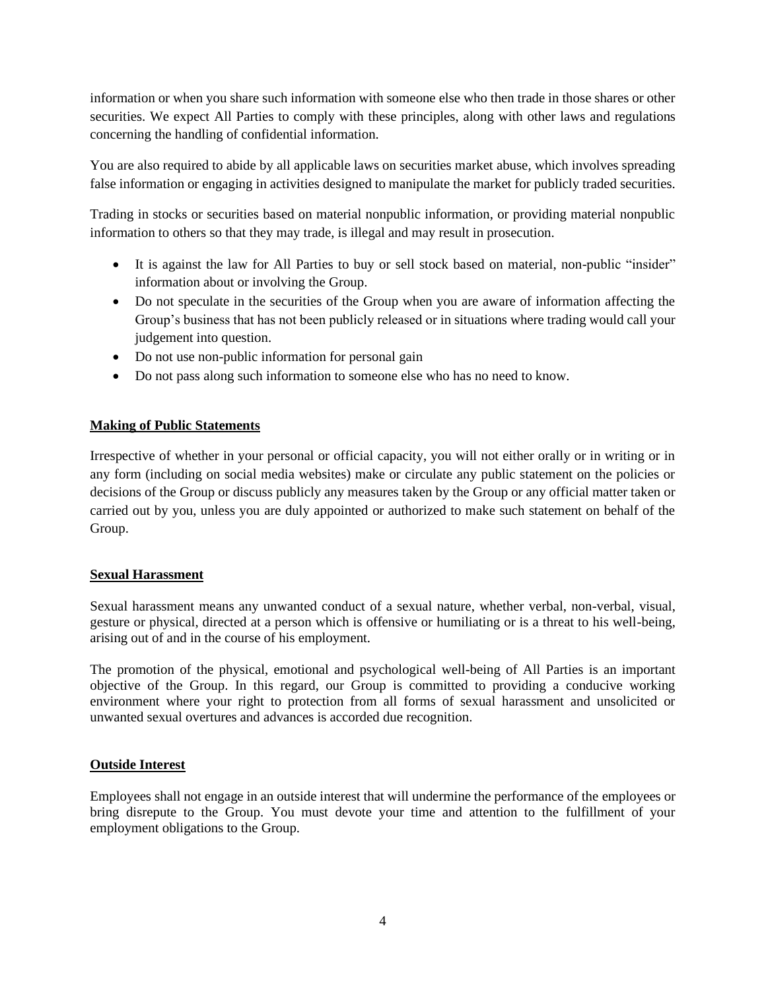information or when you share such information with someone else who then trade in those shares or other securities. We expect All Parties to comply with these principles, along with other laws and regulations concerning the handling of confidential information.

You are also required to abide by all applicable laws on securities market abuse, which involves spreading false information or engaging in activities designed to manipulate the market for publicly traded securities.

Trading in stocks or securities based on material nonpublic information, or providing material nonpublic information to others so that they may trade, is illegal and may result in prosecution.

- It is against the law for All Parties to buy or sell stock based on material, non-public "insider" information about or involving the Group.
- Do not speculate in the securities of the Group when you are aware of information affecting the Group's business that has not been publicly released or in situations where trading would call your judgement into question.
- Do not use non-public information for personal gain
- Do not pass along such information to someone else who has no need to know.

## **Making of Public Statements**

Irrespective of whether in your personal or official capacity, you will not either orally or in writing or in any form (including on social media websites) make or circulate any public statement on the policies or decisions of the Group or discuss publicly any measures taken by the Group or any official matter taken or carried out by you, unless you are duly appointed or authorized to make such statement on behalf of the Group.

## **Sexual Harassment**

Sexual harassment means any unwanted conduct of a sexual nature, whether verbal, non-verbal, visual, gesture or physical, directed at a person which is offensive or humiliating or is a threat to his well-being, arising out of and in the course of his employment.

The promotion of the physical, emotional and psychological well-being of All Parties is an important objective of the Group. In this regard, our Group is committed to providing a conducive working environment where your right to protection from all forms of sexual harassment and unsolicited or unwanted sexual overtures and advances is accorded due recognition.

## **Outside Interest**

Employees shall not engage in an outside interest that will undermine the performance of the employees or bring disrepute to the Group. You must devote your time and attention to the fulfillment of your employment obligations to the Group.